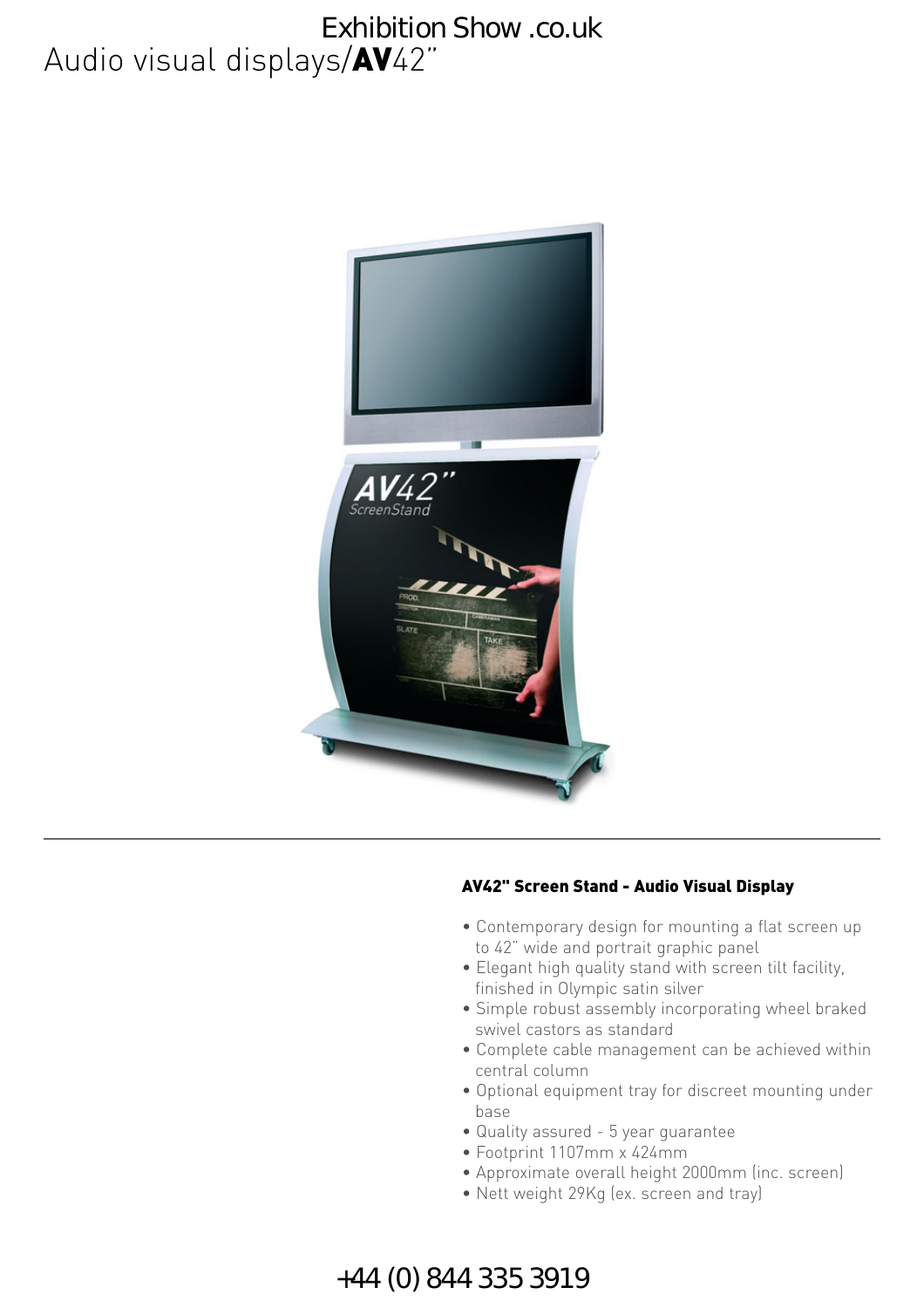### Audio visual displays/AV42" Exhibition Show .co.uk



#### AV42" Screen Stand - Audio Visual Display

- Contemporary design for mounting a flat screen up to 42" wide and portrait graphic panel
- Elegant high quality stand with screen tilt facility, finished in Olympic satin silver
- Simple robust assembly incorporating wheel braked swivel castors as standard
- Complete cable management can be achieved within central column
- Optional equipment tray for discreet mounting under base
- Quality assured 5 year guarantee
- Footprint 1107mm x 424mm
- Approximate overall height 2000mm (inc. screen)
- Nett weight 29Kg (ex. screen and tray)

### +44 (0) 844 335 3919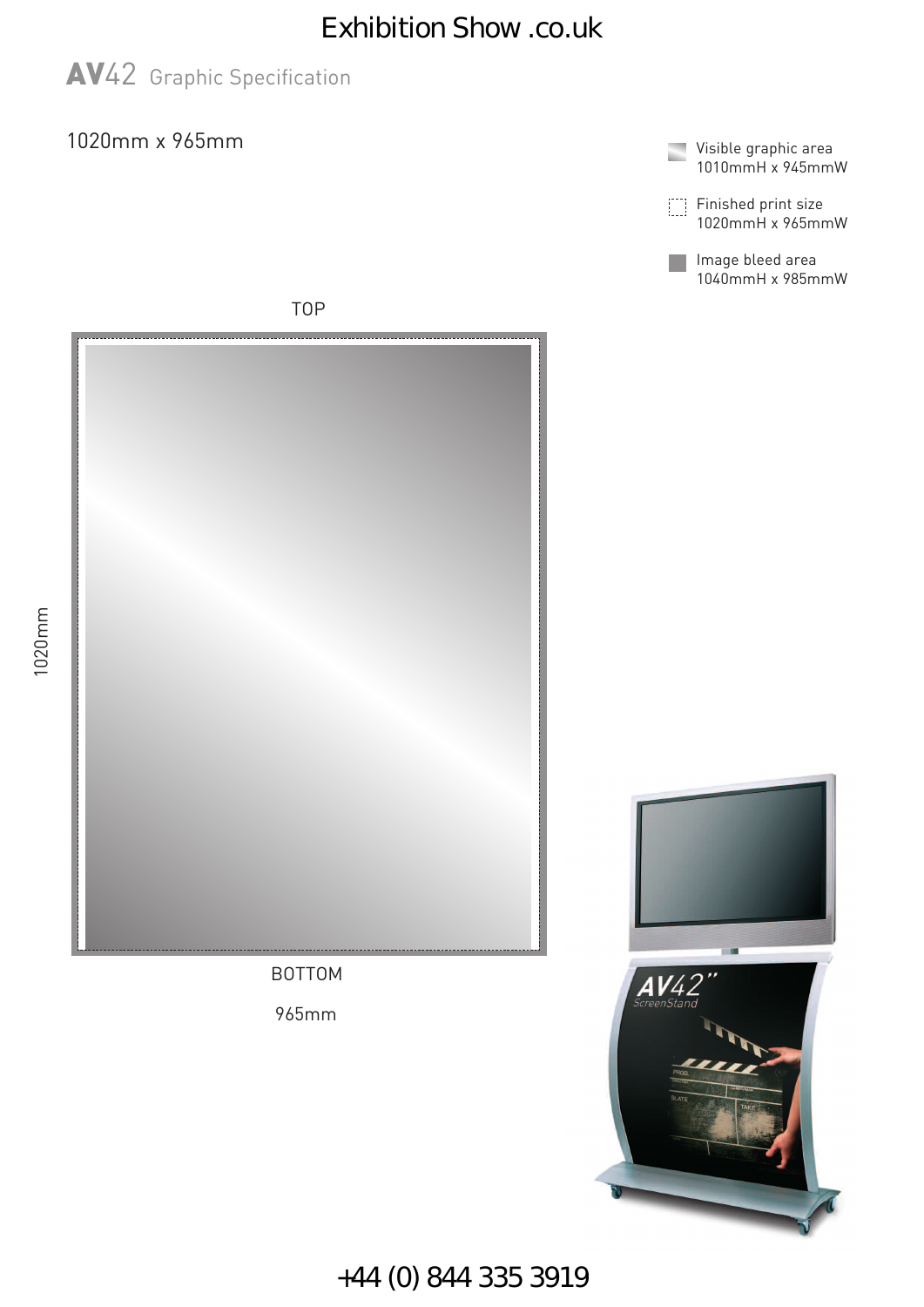## Exhibition Show .co.uk



### 1020mm x 965mm



Finished print size 1020mmH x 965mmW

Image bleed area 1040mmH x 985mmW

TOP





+44 (0) 844 335 3919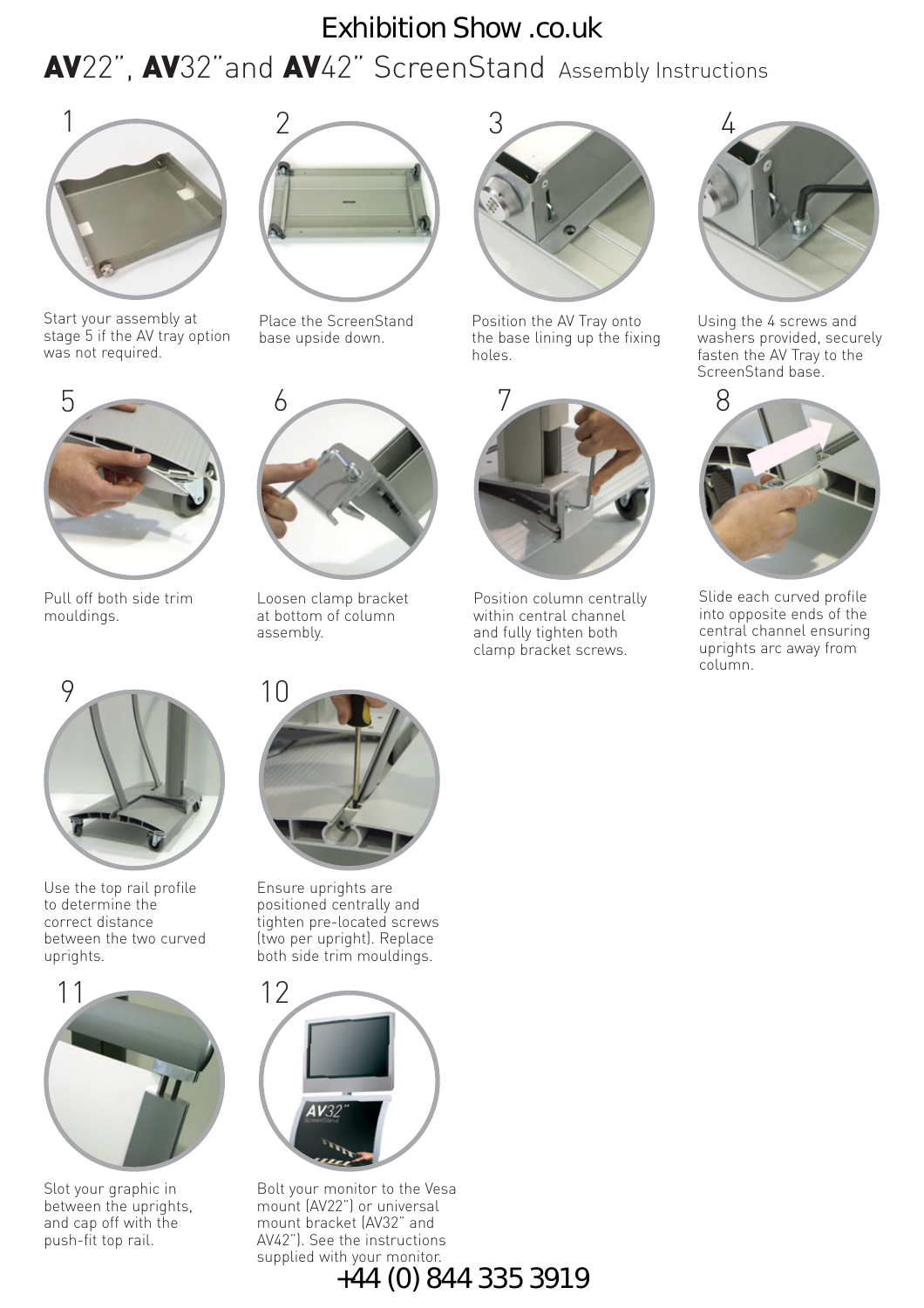## AV22", AV32"and AV42" ScreenStand Assembly Instructions Exhibition Show .co.uk



Start your assembly at stage 5 if the AV tray option was not required.



Place the ScreenStand base upside down.

6



Position the AV Tray onto the base lining up the fixing holes.



Position column centrally within central channel and fully tighten both clamp bracket screws.



Using the 4 screws and washers provided, securely fasten the AV Tray to the ScreenStand base.



Slide each curved profile into opposite ends of the central channel ensuring uprights arc away from column.



Pull off both side trim mouldings.



Use the top rail profile to determine the correct distance between the two curved uprights.



Slot your graphic in between the uprights, and cap off with the push-fit top rail.



Loosen clamp bracket at bottom of column

assembly.

Ensure uprights are positioned centrally and tighten pre-located screws (two per upright). Replace both side trim mouldings.



Bolt your monitor to the Vesa mount (AV22") or universal mount bracket (AV32" and AV42"). See the instructions supplied with your monitor. +44 (0) 844 335 3919